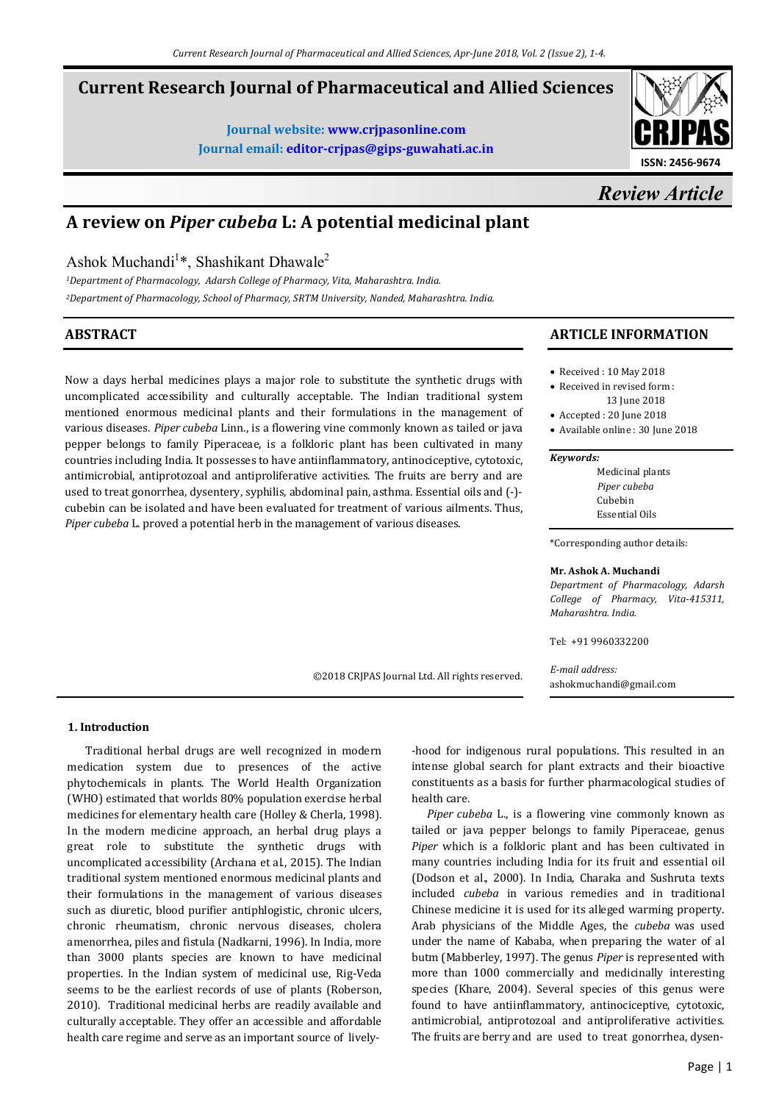©2018 CRJPAS Journal Ltd. All rights reserved.

# **Current Research Journal of Pharmaceutical and Allied Sciences**

**Journal website: www.crjpasonline.com Journal email: editor-crjpas@gips-guwahati.ac.in** 



# *Review Article*

# **A review on** *Piper cubeba* **L: A potential medicinal plant**

Ashok Muchandi<sup>1</sup>\*, Shashikant Dhawale<sup>2</sup>

*<sup>1</sup>Department of Pharmacology, Adarsh College of Pharmacy, Vita, Maharashtra. India. <sup>2</sup>Department of Pharmacology, School of Pharmacy, SRTM University, Nanded, Maharashtra. India.* 

# **ABSTRACT**

Now a days herbal medicines plays a major role to substitute the synthetic drugs with uncomplicated accessibility and culturally acceptable. The Indian traditional system mentioned enormous medicinal plants and their formulations in the management of various diseases. *Piper cubeba* Linn., is a flowering vine commonly known as tailed or java pepper belongs to family Piperaceae, is a folkloric plant has been cultivated in many countries including India. It possesses to have antiinflammatory, antinociceptive, cytotoxic, antimicrobial, antiprotozoal and antiproliferative activities. The fruits are berry and are used to treat gonorrhea, dysentery, syphilis, abdominal pain, asthma. Essential oils and (-) cubebin can be isolated and have been evaluated for treatment of various ailments. Thus, *Piper cubeba* L. proved a potential herb in the management of various diseases.

# **ARTICLE INFORMATION**

- Received : 10 May 2018
- Received in revised form : 13 June 2018
- Accepted : 20 June 2018
- Available online : 30 June 2018

#### *Keywords:*

Medicinal plants *Piper cubeba*  Cubebin Essential Oils

\*Corresponding author details:

#### **Mr. Ashok A. Muchandi**

*Department of Pharmacology, Adarsh College of Pharmacy, Vita-415311, Maharashtra. India.* 

Tel: +91 9960332200

*E-mail address:* ashokmuchandi@gmail.com

**1. Introduction**

 Traditional herbal drugs are well recognized in modern medication system due to presences of the active phytochemicals in plants. The World Health Organization (WHO) estimated that worlds 80% population exercise herbal medicines for elementary health care (Holley & Cherla, 1998). In the modern medicine approach, an herbal drug plays a great role to substitute the synthetic drugs with uncomplicated accessibility (Archana et al., 2015). The Indian traditional system mentioned enormous medicinal plants and their formulations in the management of various diseases such as diuretic, blood purifier antiphlogistic, chronic ulcers, chronic rheumatism, chronic nervous diseases, cholera amenorrhea, piles and fistula (Nadkarni, 1996). In India, more than 3000 plants species are known to have medicinal properties. In the Indian system of medicinal use, Rig-Veda seems to be the earliest records of use of plants (Roberson, 2010). Traditional medicinal herbs are readily available and culturally acceptable. They offer an accessible and affordable health care regime and serve as an important source of lively-

-hood for indigenous rural populations. This resulted in an intense global search for plant extracts and their bioactive constituents as a basis for further pharmacological studies of health care.

 *Piper cubeba* L., is a flowering vine commonly known as tailed or java pepper belongs to family Piperaceae, genus *Piper* which is a folkloric plant and has been cultivated in many countries including India for its fruit and essential oil (Dodson et al., 2000). In India, Charaka and Sushruta texts included *cubeba* in various remedies and in traditional Chinese medicine it is used for its alleged warming property. Arab physicians of the Middle Ages, the *cubeba* was used under the name of Kababa, when preparing the water of al butm (Mabberley, 1997). The genus *Piper* is represented with more than 1000 commercially and medicinally interesting species (Khare, 2004). Several species of this genus were found to have antiinflammatory, antinociceptive, cytotoxic, antimicrobial, antiprotozoal and antiproliferative activities. The fruits are berry and are used to treat gonorrhea, dysen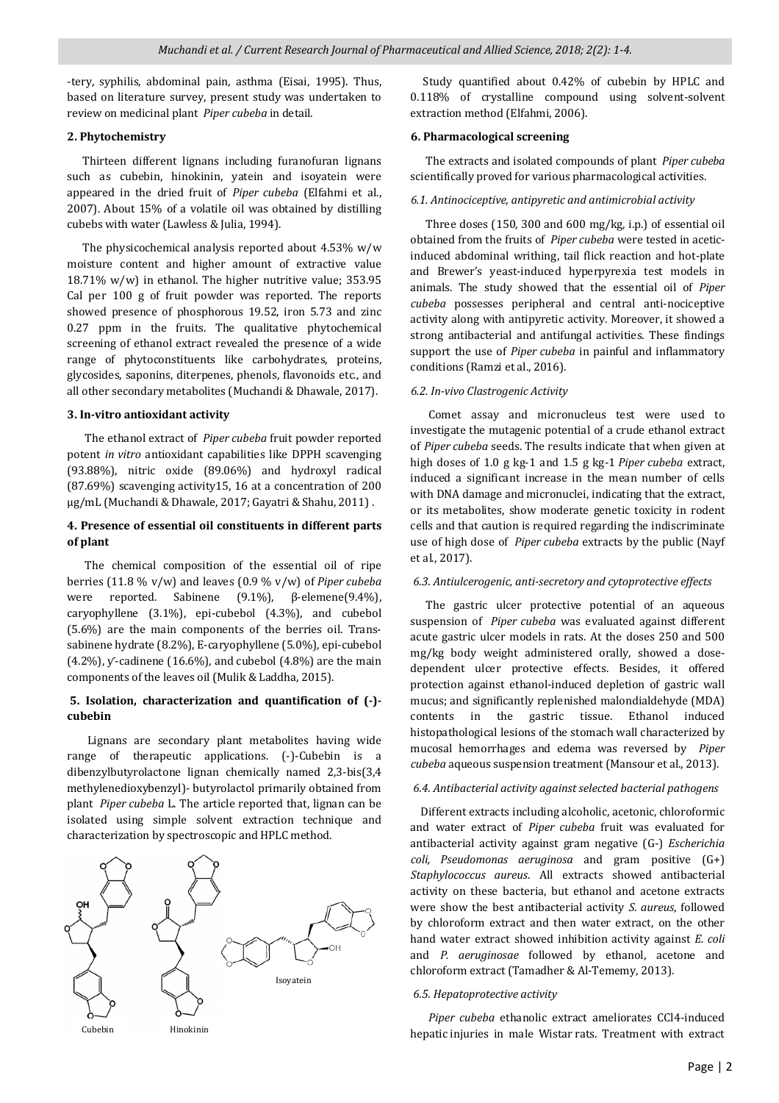-tery, syphilis, abdominal pain, asthma (Eisai, 1995). Thus, based on literature survey, present study was undertaken to review on medicinal plant *Piper cubeba* in detail.

### **2. Phytochemistry**

 Thirteen different lignans including furanofuran lignans such as cubebin, hinokinin, yatein and isoyatein were appeared in the dried fruit of *Piper cubeba* (Elfahmi et al., 2007). About 15% of a volatile oil was obtained by distilling cubebs with water (Lawless & Julia, 1994).

 The physicochemical analysis reported about 4.53% w/w moisture content and higher amount of extractive value 18.71% w/w) in ethanol. The higher nutritive value; 353.95 Cal per 100 g of fruit powder was reported. The reports showed presence of phosphorous 19.52, iron 5.73 and zinc 0.27 ppm in the fruits. The qualitative phytochemical screening of ethanol extract revealed the presence of a wide range of phytoconstituents like carbohydrates, proteins, glycosides, saponins, diterpenes, phenols, flavonoids etc., and all other secondary metabolites (Muchandi & Dhawale, 2017).

### **3. In-vitro antioxidant activity**

 The ethanol extract of *Piper cubeba* fruit powder reported potent *in vitro* antioxidant capabilities like DPPH scavenging (93.88%), nitric oxide (89.06%) and hydroxyl radical (87.69%) scavenging activity15, 16 at a concentration of 200 µg/mL (Muchandi & Dhawale, 2017; Gayatri & Shahu, 2011) .

# **4. Presence of essential oil constituents in different parts of plant**

 The chemical composition of the essential oil of ripe berries (11.8 % v/w) and leaves (0.9 % v/w) of *Piper cubeba* were reported. Sabinene (9.1%), β-elemene(9.4%), caryophyllene (3.1%), epi-cubebol (4.3%), and cubebol (5.6%) are the main components of the berries oil. Transsabinene hydrate (8.2%), E-caryophyllene (5.0%), epi-cubebol  $(4.2\%)$ , y-cadinene  $(16.6\%)$ , and cubebol  $(4.8\%)$  are the main components of the leaves oil (Mulik & Laddha, 2015).

# **5. Isolation, characterization and quantification of (-) cubebin**

 Lignans are secondary plant metabolites having wide range of therapeutic applications. (-)-Cubebin is a dibenzylbutyrolactone lignan chemically named 2,3-bis(3,4 methylenedioxybenzyl)- butyrolactol primarily obtained from plant *Piper cubeba* L. The article reported that, lignan can be isolated using simple solvent extraction technique and characterization by spectroscopic and HPLC method.



 Study quantified about 0.42% of cubebin by HPLC and 0.118% of crystalline compound using solvent-solvent extraction method (Elfahmi, 2006).

# **6. Pharmacological screening**

 The extracts and isolated compounds of plant *Piper cubeba* scientifically proved for various pharmacological activities.

# *6.1. Antinociceptive, antipyretic and antimicrobial activity*

 Three doses (150, 300 and 600 mg/kg, i.p.) of essential oil obtained from the fruits of *Piper cubeba* were tested in aceticinduced abdominal writhing, tail flick reaction and hot-plate and Brewer's yeast-induced hyperpyrexia test models in animals. The study showed that the essential oil of *Piper cubeba* possesses peripheral and central anti-nociceptive activity along with antipyretic activity. Moreover, it showed a strong antibacterial and antifungal activities. These findings support the use of *Piper cubeba* in painful and inflammatory conditions (Ramzi et al., 2016).

## *6.2. In-vivo Clastrogenic Activity*

 Comet assay and micronucleus test were used to investigate the mutagenic potential of a crude ethanol extract of *Piper cubeba* seeds. The results indicate that when given at high doses of 1.0 g kg-1 and 1.5 g kg-1 *Piper cubeba* extract, induced a significant increase in the mean number of cells with DNA damage and micronuclei, indicating that the extract, or its metabolites, show moderate genetic toxicity in rodent cells and that caution is required regarding the indiscriminate use of high dose of *Piper cubeba* extracts by the public (Nayf et al., 2017).

# *6.3. Antiulcerogenic, anti-secretory and cytoprotective effects*

 The gastric ulcer protective potential of an aqueous suspension of *Piper cubeba* was evaluated against different acute gastric ulcer models in rats. At the doses 250 and 500 mg/kg body weight administered orally, showed a dosedependent ulcer protective effects. Besides, it offered protection against ethanol-induced depletion of gastric wall mucus; and significantly replenished malondialdehyde (MDA) contents in the gastric tissue. Ethanol induced histopathological lesions of the stomach wall characterized by mucosal hemorrhages and edema was reversed by *Piper cubeba* aqueous suspension treatment (Mansour et al., 2013).

# *6.4. Antibacterial activity against selected bacterial pathogens*

 Different extracts including alcoholic, acetonic, chloroformic and water extract of *Piper cubeba* fruit was evaluated for antibacterial activity against gram negative (G-) *Escherichia coli, Pseudomonas aeruginosa* and gram positive (G+) *Staphylococcus aureus*. All extracts showed antibacterial activity on these bacteria, but ethanol and acetone extracts were show the best antibacterial activity *S. aureus*, followed by chloroform extract and then water extract, on the other hand water extract showed inhibition activity against *E. coli* and *P. aeruginosae* followed by ethanol, acetone and chloroform extract (Tamadher & Al-Tememy, 2013).

# *6.5. Hepatoprotective activity*

 *Piper cubeba* ethanolic extract ameliorates CCl4-induced hepatic injuries in male Wistar rats. Treatment with extract Cubebin Hinokinin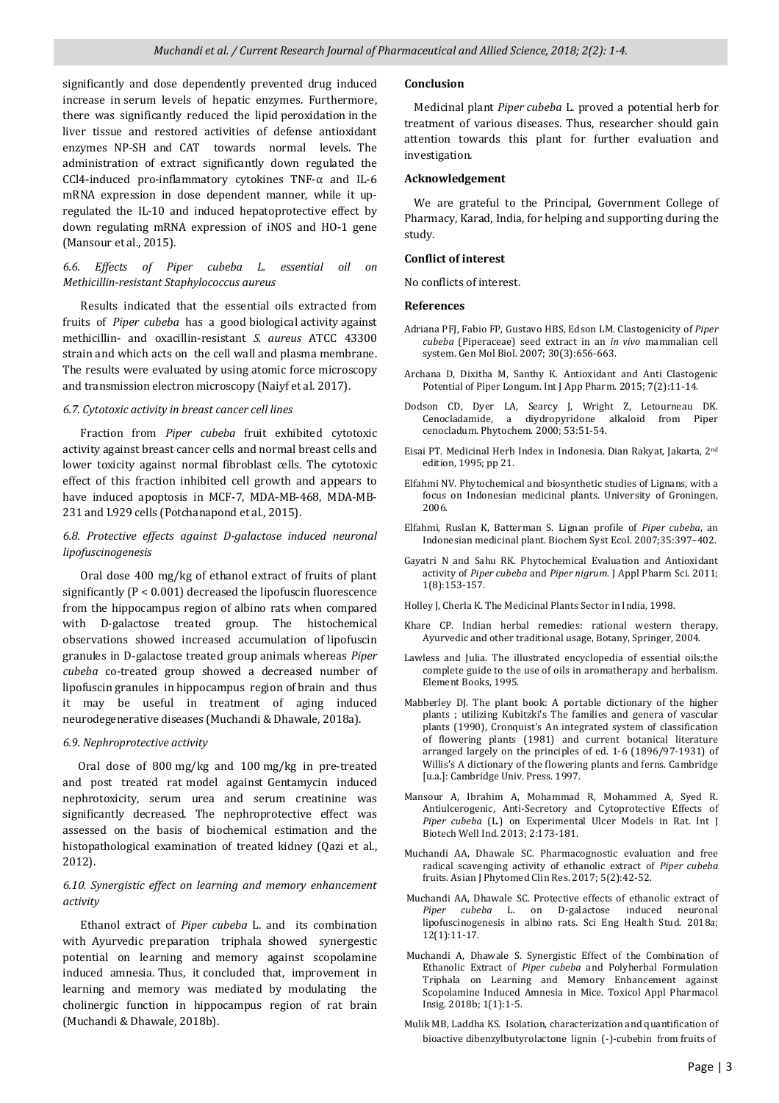significantly and dose dependently prevented drug induced increase in serum levels of hepatic enzymes. Furthermore, there was significantly reduced the lipid peroxidation in the liver tissue and restored activities of defense antioxidant enzymes NP-SH and CAT towards normal levels. The administration of extract significantly down regulated the CCl4-induced pro-inflammatory cytokines TNF-α and IL-6 mRNA expression in dose dependent manner, while it upregulated the IL-10 and induced hepatoprotective effect by down regulating mRNA expression of iNOS and HO-1 gene (Mansour et al., 2015).

### *6.6. Effects of Piper cubeba L. essential oil on Methicillin-resistant Staphylococcus aureus*

 Results indicated that the essential oils extracted from fruits of *Piper cubeba* has a good biological activity against methicillin- and oxacillin-resistant *S. aureus* ATCC 43300 strain and which acts on the cell wall and plasma membrane. The results were evaluated by using atomic force microscopy and transmission electron microscopy (Naiyf et al. 2017).

## *6.7. Cytotoxic activity in breast cancer cell lines*

 Fraction from *Piper cubeba* fruit exhibited cytotoxic activity against breast cancer cells and normal breast cells and lower toxicity against normal fibroblast cells. The cytotoxic effect of this fraction inhibited cell growth and appears to have induced apoptosis in MCF-7, MDA-MB-468, MDA-MB-231 and L929 cells (Potchanapond et al., 2015).

## *6.8. Protective effects against D-galactose induced neuronal lipofuscinogenesis*

 Oral dose 400 mg/kg of ethanol extract of fruits of plant significantly (P < 0.001) decreased the lipofuscin fluorescence from the hippocampus region of albino rats when compared with D-galactose treated group. The histochemical observations showed increased accumulation of lipofuscin granules in D-galactose treated group animals whereas *Piper cubeba* co-treated group showed a decreased number of lipofuscin granules in hippocampus region of brain and thus it may be useful in treatment of aging induced neurodegenerative diseases (Muchandi & Dhawale, 2018a).

#### *6.9. Nephroprotective activity*

 Oral dose of 800 mg/kg and 100 mg/kg in pre-treated and post treated rat model against Gentamycin induced nephrotoxicity, serum urea and serum creatinine was significantly decreased. The nephroprotective effect was assessed on the basis of biochemical estimation and the histopathological examination of treated kidney (Qazi et al., 2012).

## *6.10. Synergistic effect on learning and memory enhancement activity*

 Ethanol extract of *Piper cubeba* L. and its combination with Ayurvedic preparation triphala showed synergestic potential on learning and memory against scopolamine induced amnesia. Thus, it concluded that, improvement in learning and memory was mediated by modulating the cholinergic function in hippocampus region of rat brain (Muchandi & Dhawale, 2018b).

#### **Conclusion**

 Medicinal plant *Piper cubeba* L. proved a potential herb for treatment of various diseases. Thus, researcher should gain attention towards this plant for further evaluation and investigation.

#### **Acknowledgement**

 We are grateful to the Principal, Government College of Pharmacy, Karad, India, for helping and supporting during the study.

#### **Conflict of interest**

No conflicts of interest.

#### **References**

- Adriana PFJ, Fabio FP, Gustavo HBS, Edson LM. Clastogenicity of *Piper cubeba* (Piperaceae) seed extract in an *in vivo* mammalian cell system. Gen Mol Biol. 2007; 30(3):656-663.
- Archana D, Dixitha M, Santhy K. Antioxidant and Anti Clastogenic Potential of Piper Longum. Int J App Pharm. 2015; 7(2):11-14.
- Dodson CD, Dyer LA, Searcy J, Wright Z, Letourneau DK. Cenocladamide, a diydropyridone alkaloid from Piper cenocladum. Phytochem. 2000; 53:51-54.
- Eisai PT. Medicinal Herb Index in Indonesia. Dian Rakyat, Jakarta, 2nd edition, 1995; pp 21.
- Elfahmi NV. Phytochemical and biosynthetic studies of Lignans, with a focus on Indonesian medicinal plants. University of Groningen, 2006.
- Elfahmi, Ruslan K, Batterman S. Lignan profile of *Piper cubeba*, an Indonesian medicinal plant. Biochem Syst Ecol. 2007;35:397–402.
- Gayatri N and Sahu RK. Phytochemical Evaluation and Antioxidant activity of *Piper cubeba* and *Piper nigrum*. J Appl Pharm Sci. 2011; 1(8):153-157.
- Holley J, Cherla K. The Medicinal Plants Sector in India, 1998.
- Khare CP. Indian herbal remedies: rational western therapy, Ayurvedic and other traditional usage, Botany, Springer, 2004.
- Lawless and Julia. The illustrated encyclopedia of essential oils:the complete guide to the use of oils in aromatherapy and herbalism. Element Books, 1995.
- Mabberley DJ. The plant book: A portable dictionary of the higher plants ; utilizing Kubitzki's The families and genera of vascular plants (1990), Cronquist's An integrated system of classification of flowering plants (1981) and current botanical literature arranged largely on the principles of ed. 1-6 (1896/97-1931) of Willis's A dictionary of the flowering plants and ferns. Cambridge [u.a.]: Cambridge Univ. Press. 1997.
- Mansour A, Ibrahim A, Mohammad R, Mohammed A, Syed R. Antiulcerogenic, Anti-Secretory and Cytoprotective Effects of *Piper cubeba* (L.) on Experimental Ulcer Models in Rat. Int J Biotech Well Ind. 2013; 2:173-181.
- Muchandi AA, Dhawale SC. Pharmacognostic evaluation and free radical scavenging activity of ethanolic extract of *Piper cubeba* fruits. Asian J Phytomed Clin Res. 2017; 5(2):42-52.
- Muchandi AA, Dhawale SC. Protective effects of ethanolic extract of *Piper cubeba* L. on D-galactose induced neuronal lipofuscinogenesis in albino rats. Sci Eng Health Stud. 2018a; 12(1):11-17.
- Muchandi A, Dhawale S. Synergistic Effect of the Combination of Ethanolic Extract of *Piper cubeba* and Polyherbal Formulation Triphala on Learning and Memory Enhancement against Scopolamine Induced Amnesia in Mice. Toxicol Appl Pharmacol Insig. 2018b; 1(1):1-5.
- Mulik MB, Laddha KS. Isolation, characterization and quantification of bioactive dibenzylbutyrolactone lignin (-)-cubebin from fruits of